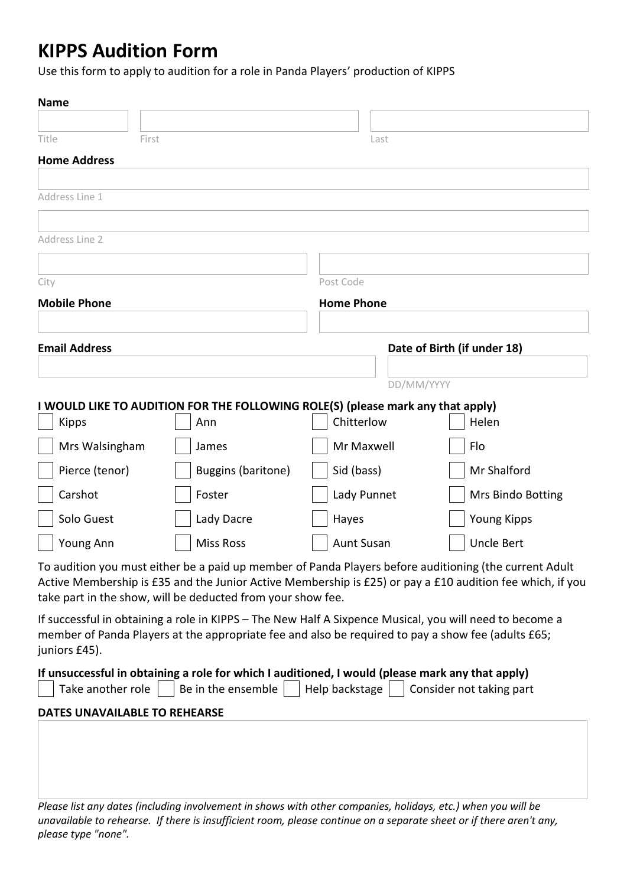# **KIPPS Audition Form**

Use this form to apply to audition for a role in Panda Players' production of KIPPS

| <b>Name</b>                          |                                                                                                                                                                                                               |                   |                                                                                                           |  |
|--------------------------------------|---------------------------------------------------------------------------------------------------------------------------------------------------------------------------------------------------------------|-------------------|-----------------------------------------------------------------------------------------------------------|--|
|                                      |                                                                                                                                                                                                               |                   |                                                                                                           |  |
| Title                                | First                                                                                                                                                                                                         | Last              |                                                                                                           |  |
| <b>Home Address</b>                  |                                                                                                                                                                                                               |                   |                                                                                                           |  |
| Address Line 1                       |                                                                                                                                                                                                               |                   |                                                                                                           |  |
|                                      |                                                                                                                                                                                                               |                   |                                                                                                           |  |
| Address Line 2                       |                                                                                                                                                                                                               |                   |                                                                                                           |  |
|                                      |                                                                                                                                                                                                               |                   |                                                                                                           |  |
| City                                 |                                                                                                                                                                                                               | Post Code         |                                                                                                           |  |
| <b>Mobile Phone</b>                  |                                                                                                                                                                                                               | <b>Home Phone</b> |                                                                                                           |  |
|                                      |                                                                                                                                                                                                               |                   |                                                                                                           |  |
| <b>Email Address</b>                 |                                                                                                                                                                                                               |                   | Date of Birth (if under 18)                                                                               |  |
|                                      |                                                                                                                                                                                                               |                   |                                                                                                           |  |
|                                      |                                                                                                                                                                                                               | DD/MM/YYYY        |                                                                                                           |  |
| <b>Kipps</b>                         | I WOULD LIKE TO AUDITION FOR THE FOLLOWING ROLE(S) (please mark any that apply)<br>Ann                                                                                                                        | Chitterlow        | Helen                                                                                                     |  |
| Mrs Walsingham                       | James                                                                                                                                                                                                         | Mr Maxwell        | Flo                                                                                                       |  |
| Pierce (tenor)                       | Buggins (baritone)                                                                                                                                                                                            | Sid (bass)        | Mr Shalford                                                                                               |  |
|                                      |                                                                                                                                                                                                               |                   |                                                                                                           |  |
| Carshot                              | Foster                                                                                                                                                                                                        | Lady Punnet       | Mrs Bindo Botting                                                                                         |  |
| Solo Guest                           | Lady Dacre                                                                                                                                                                                                    | Hayes             | <b>Young Kipps</b>                                                                                        |  |
| Young Ann                            | <b>Miss Ross</b>                                                                                                                                                                                              | <b>Aunt Susan</b> | <b>Uncle Bert</b>                                                                                         |  |
|                                      | To audition you must either be a paid up member of Panda Players before auditioning (the current Adult<br>take part in the show, will be deducted from your show fee.                                         |                   | Active Membership is £35 and the Junior Active Membership is £25) or pay a £10 audition fee which, if you |  |
| juniors £45).                        | If successful in obtaining a role in KIPPS - The New Half A Sixpence Musical, you will need to become a<br>member of Panda Players at the appropriate fee and also be required to pay a show fee (adults £65; |                   |                                                                                                           |  |
| Take another role                    | If unsuccessful in obtaining a role for which I auditioned, I would (please mark any that apply)<br>Be in the ensemble                                                                                        | Help backstage    | Consider not taking part                                                                                  |  |
| <b>DATES UNAVAILABLE TO REHEARSE</b> |                                                                                                                                                                                                               |                   |                                                                                                           |  |
|                                      |                                                                                                                                                                                                               |                   |                                                                                                           |  |
|                                      |                                                                                                                                                                                                               |                   |                                                                                                           |  |
|                                      |                                                                                                                                                                                                               |                   |                                                                                                           |  |
|                                      | Please list any dates (including involvement in shows with other companies, holidays, etc.) when you will be                                                                                                  |                   |                                                                                                           |  |

*Please list any dates (including involvement in shows with other companies, holidays, etc.) when you will be unavailable to rehearse. If there is insufficient room, please continue on a separate sheet or if there aren't any, please type "none".*